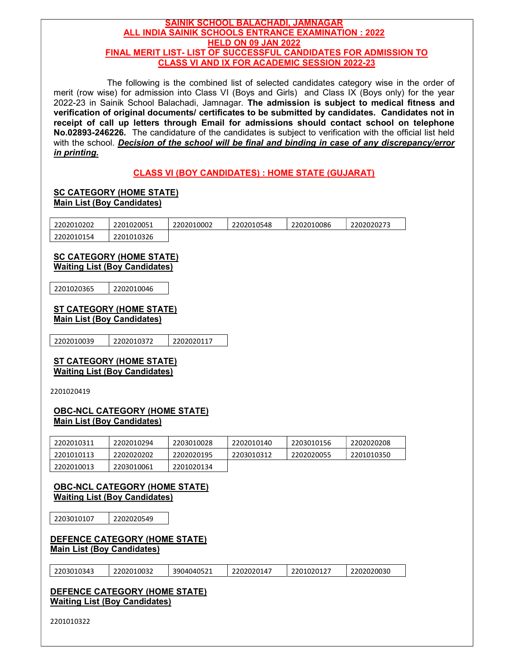#### SAINIK SCHOOL BALACHADI, JAMNAGAR ALL INDIA SAINIK SCHOOLS ENTRANCE EXAMINATION : 2022 HELD ON 09 JAN 2022 FINAL MERIT LIST- LIST OF SUCCESSFUL CANDIDATES FOR ADMISSION TO CLASS VI AND IX FOR ACADEMIC SESSION 2022-23

 The following is the combined list of selected candidates category wise in the order of merit (row wise) for admission into Class VI (Boys and Girls) and Class IX (Boys only) for the year 2022-23 in Sainik School Balachadi, Jamnagar. The admission is subject to medical fitness and verification of original documents/ certificates to be submitted by candidates. Candidates not in receipt of call up letters through Email for admissions should contact school on telephone No.02893-246226. The candidature of the candidates is subject to verification with the official list held with the school. Decision of the school will be final and binding in case of any discrepancy/error in printing.

## CLASS VI (BOY CANDIDATES) : HOME STATE (GUJARAT)

# SC CATEGORY (HOME STATE)<br>Main List (Boy Candidates)

| 2202010202 | 2201020051 | 2202010002 | 2202010548 | 2202010086 | 2202020273 |
|------------|------------|------------|------------|------------|------------|
| 2202010154 | 2201010326 |            |            |            |            |

# SC CATEGORY (HOME STATE)<br>Waiting List (Boy Candidates)

2201020365 2202010046

## ST CATEGORY (HOME STATE)<br>Main List (Boy Candidates)

2202010039 2202010372 2202020117

# ST CATEGORY (HOME STATE)<br>Waiting List (Boy Candidates)

2201020419

# OBC-NCL CATEGORY (HOME STATE)<br>Main List (Boy Candidates)

| 2202010311 | 2202010294 | 2203010028 | 2202010140 | 2203010156 | 2202020208 |
|------------|------------|------------|------------|------------|------------|
| 2201010113 | 2202020202 | 2202020195 | 2203010312 | 2202020055 | 2201010350 |
| 2202010013 | 2203010061 | 2201020134 |            |            |            |

# **OBC-NCL CATEGORY (HOME STATE)**<br>Waiting List (Boy Candidates)

2203010107 2202020549

#### DEFENCE CATEGORY (HOME STATE) Main List (Boy Candidates)

|  | 2203010343 | 2202010032 | 3904040521 | 2202020147 | 2201020127 | 2202020030 |
|--|------------|------------|------------|------------|------------|------------|
|--|------------|------------|------------|------------|------------|------------|

## DEFENCE CATEGORY (HOME STATE) Waiting List (Boy Candidates)

2201010322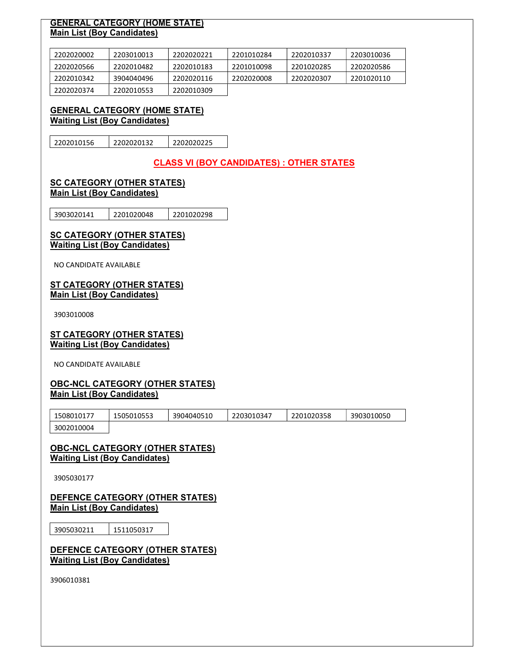## **GENERAL CATEGORY (HOME STATE)**<br>Main List (Boy Candidates)

| 2202020002 | 2203010013 | 2202020221 | 2201010284 | 2202010337 | 2203010036 |
|------------|------------|------------|------------|------------|------------|
| 2202020566 | 2202010482 | 2202010183 | 2201010098 | 2201020285 | 2202020586 |
| 2202010342 | 3904040496 | 2202020116 | 2202020008 | 2202020307 | 2201020110 |
| 2202020374 | 2202010553 | 2202010309 |            |            |            |

# GENERAL CATEGORY (HOME STATE) Waiting List (Boy Candidates)

2202010156 2202020132 2202020225

CLASS VI (BOY CANDIDATES) : OTHER STATES

#### SC CATEGORY (OTHER STATES) Main List (Boy Candidates)

3903020141 2201020048 2201020298

#### **SC CATEGORY (OTHER STATES)** Waiting List (Boy Candidates)

NO CANDIDATE AVAILABLE

#### ST CATEGORY (OTHER STATES) Main List (Boy Candidates)

3903010008

#### ST CATEGORY (OTHER STATES) Waiting List (Boy Candidates)

NO CANDIDATE AVAILABLE

#### OBC-NCL CATEGORY (OTHER STATES) Main List (Boy Candidates)

| 1508010177 | 1505010553 | 3904040510 | 2203010347 | 2201020358 | 3903010050 |
|------------|------------|------------|------------|------------|------------|
| 3002010004 |            |            |            |            |            |

#### OBC-NCL CATEGORY (OTHER STATES) Waiting List (Boy Candidates)

3905030177

#### DEFENCE CATEGORY (OTHER STATES) Main List (Boy Candidates)

3905030211 1511050317

DEFENCE CATEGORY (OTHER STATES) Waiting List (Boy Candidates)

3906010381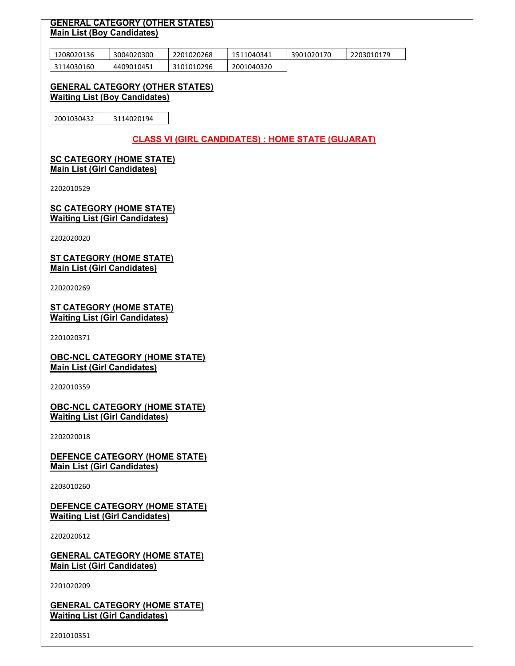#### GENERAL CATEGORY (OTHER STATES) Main List (Boy Candidates)

| 1208020136 | 3004020300 | 2201020268 | 1511040341 | 3901020170 | 2203010179 |
|------------|------------|------------|------------|------------|------------|
| 3114030160 | 4409010451 | 3101010296 | 2001040320 |            |            |

#### GENERAL CATEGORY (OTHER STATES) Waiting List (Boy Candidates)

2001030432 3114020194

## CLASS VI (GIRL CANDIDATES) : HOME STATE (GUJARAT)

## SC CATEGORY (HOME STATE)<br>Main List (Girl Candidates)

2202010529

**SC CATEGORY (HOME STATE)**<br>Waiting List (Girl Candidates)

2202020020

ST CATEGORY (HOME STATE)<br>Main List (Girl Candidates)

2202020269

ST CATEGORY (HOME STATE) Waiting List (Girl Candidates)

2201020371

OBC-NCL CATEGORY (HOME STATE) Main List (Girl Candidates)

2202010359

**OBC-NCL CATEGORY (HOME STATE)**<br>Waiting List (Girl Candidates)

2202020018

DEFENCE CATEGORY (HOME STATE) Main List (Girl Candidates)

2203010260

#### DEFENCE CATEGORY (HOME STATE) Waiting List (Girl Candidates)

2202020612

GENERAL CATEGORY (HOME STATE) Main List (Girl Candidates)

2201020209

**GENERAL CATEGORY (HOME STATE)**<br>Waiting List (Girl Candidates)

2201010351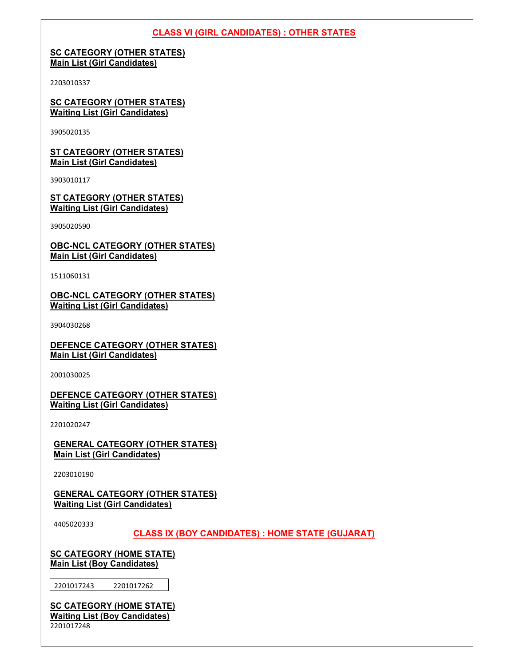### CLASS VI (GIRL CANDIDATES) : OTHER STATES

## SC CATEGORY (OTHER STATES)<br>Main List (Girl Candidates)

2203010337

**SC CATEGORY (OTHER STATES)**<br>Waiting List (Girl Candidates)

3905020135

ST CATEGORY (OTHER STATES)<br>Main List (Girl Candidates)

3903010117

ST CATEGORY (OTHER STATES) Waiting List (Girl Candidates)

3905020590

OBC-NCL CATEGORY (OTHER STATES) Main List (Girl Candidates)

1511060131

OBC-NCL CATEGORY (OTHER STATES) Waiting List (Girl Candidates)

3904030268

DEFENCE CATEGORY (OTHER STATES) Main List (Girl Candidates)

2001030025

DEFENCE CATEGORY (OTHER STATES) Waiting List (Girl Candidates)

2201020247

GENERAL CATEGORY (OTHER STATES) Main List (Girl Candidates)

2203010190

GENERAL CATEGORY (OTHER STATES) Waiting List (Girl Candidates)

4405020333

#### CLASS IX (BOY CANDIDATES) : HOME STATE (GUJARAT)

**SC CATEGORY (HOME STATE)** Main List (Boy Candidates)

2201017243 2201017262

SC CATEGORY (HOME STATE) Waiting List (Boy Candidates) 2201017248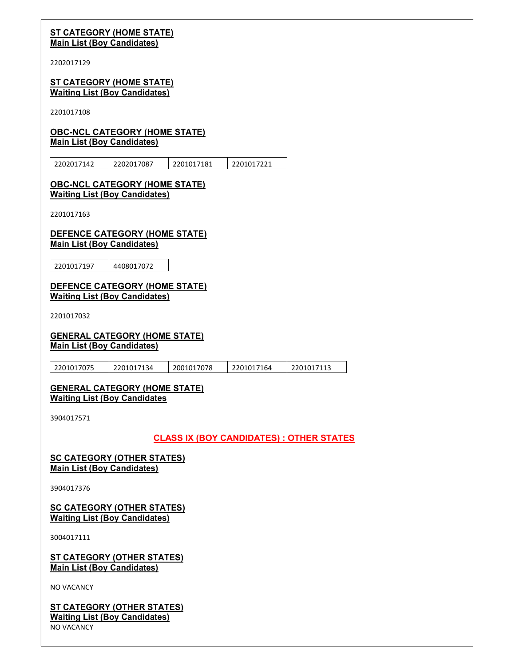#### ST CATEGORY (HOME STATE) Main List (Boy Candidates)

2202017129

#### **ST CATEGORY (HOME STATE)** Waiting List (Boy Candidates)

2201017108

## OBC-NCL CATEGORY (HOME STATE) Main List (Boy Candidates)

2202017142 2202017087 2201017181 2201017221

#### OBC-NCL CATEGORY (HOME STATE) Waiting List (Boy Candidates)

2201017163

#### DEFENCE CATEGORY (HOME STATE) Main List (Boy Candidates)

2201017197 4408017072

#### DEFENCE CATEGORY (HOME STATE) Waiting List (Boy Candidates)

2201017032

### GENERAL CATEGORY (HOME STATE) Main List (Boy Candidates)

| 2201017075 | 2201017134 | 2001017078 | 2201017164 | 2201017113 |
|------------|------------|------------|------------|------------|
|            |            |            |            |            |

#### GENERAL CATEGORY (HOME STATE) Waiting List (Boy Candidates

3904017571

## CLASS IX (BOY CANDIDATES) : OTHER STATES

#### SC CATEGORY (OTHER STATES) Main List (Boy Candidates)

3904017376

### SC CATEGORY (OTHER STATES) Waiting List (Boy Candidates)

3004017111

**ST CATEGORY (OTHER STATES)** Main List (Boy Candidates)

NO VACANCY

ST CATEGORY (OTHER STATES) Waiting List (Boy Candidates) NO VACANCY